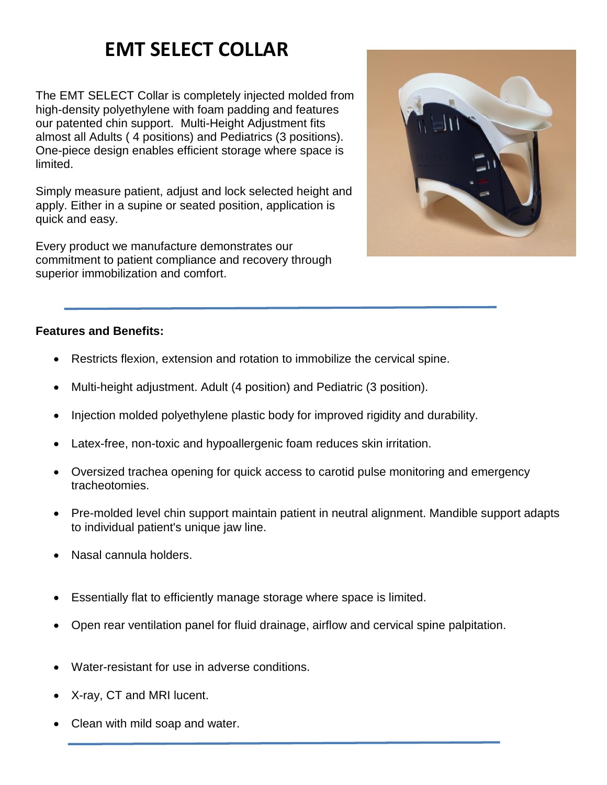# **EMT SELECT COLLAR**

The EMT SELECT Collar is completely injected molded from high-density polyethylene with foam padding and features our patented chin support. Multi-Height Adjustment fits almost all Adults ( 4 positions) and Pediatrics (3 positions). One-piece design enables efficient storage where space is limited.

Simply measure patient, adjust and lock selected height and apply. Either in a supine or seated position, application is quick and easy.

Every product we manufacture demonstrates our commitment to patient compliance and recovery through superior immobilization and comfort.



## **Features and Benefits:**

- Restricts flexion, extension and rotation to immobilize the cervical spine.
- Multi-height adjustment. Adult (4 position) and Pediatric (3 position).
- Injection molded polyethylene plastic body for improved rigidity and durability.
- Latex-free, non-toxic and hypoallergenic foam reduces skin irritation.
- Oversized trachea opening for quick access to carotid pulse monitoring and emergency tracheotomies.
- Pre-molded level chin support maintain patient in neutral alignment. Mandible support adapts to individual patient's unique jaw line.
- Nasal cannula holders.
- Essentially flat to efficiently manage storage where space is limited.
- Open rear ventilation panel for fluid drainage, airflow and cervical spine palpitation.
- Water-resistant for use in adverse conditions.
- X-ray, CT and MRI lucent.
- Clean with mild soap and water.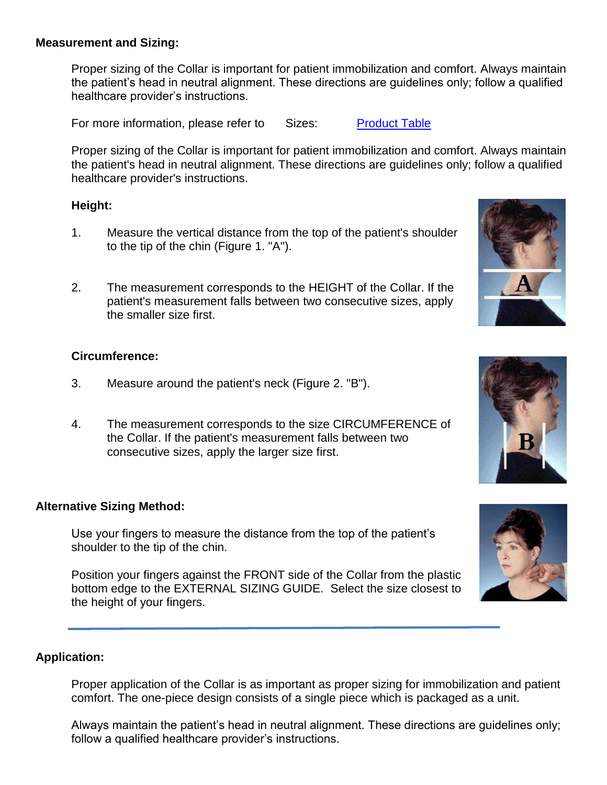#### **Measurement and Sizing:**

Proper sizing of the Collar is important for patient immobilization and comfort. Always maintain the patient's head in neutral alignment. These directions are guidelines only; follow a qualified healthcare provider's instructions.

For more information, please refer to Sizes: Product Table

Proper sizing of the Collar is important for patient immobilization and comfort. Always maintain the patient's head in neutral alignment. These directions are guidelines only; follow a qualified healthcare provider's instructions.

#### **Height:**

- 1. Measure the vertical distance from the top of the patient's shoulder to the tip of the chin (Figure 1. "A").
- 2. The measurement corresponds to the HEIGHT of the Collar. If the patient's measurement falls between two consecutive sizes, apply the smaller size first.

### **Circumference:**

- 3. Measure around the patient's neck (Figure 2. "B").
- 4. The measurement corresponds to the size CIRCUMFERENCE of the Collar. If the patient's measurement falls between two consecutive sizes, apply the larger size first.

### **Alternative Sizing Method:**

Use your fingers to measure the distance from the top of the patient's shoulder to the tip of the chin.

Position your fingers against the FRONT side of the Collar from the plastic bottom edge to the EXTERNAL SIZING GUIDE. Select the size closest to the height of your fingers.

### **Application:**

Proper application of the Collar is as important as proper sizing for immobilization and patient comfort. The one-piece design consists of a single piece which is packaged as a unit.

Always maintain the patient's head in neutral alignment. These directions are guidelines only; follow a qualified healthcare provider's instructions.







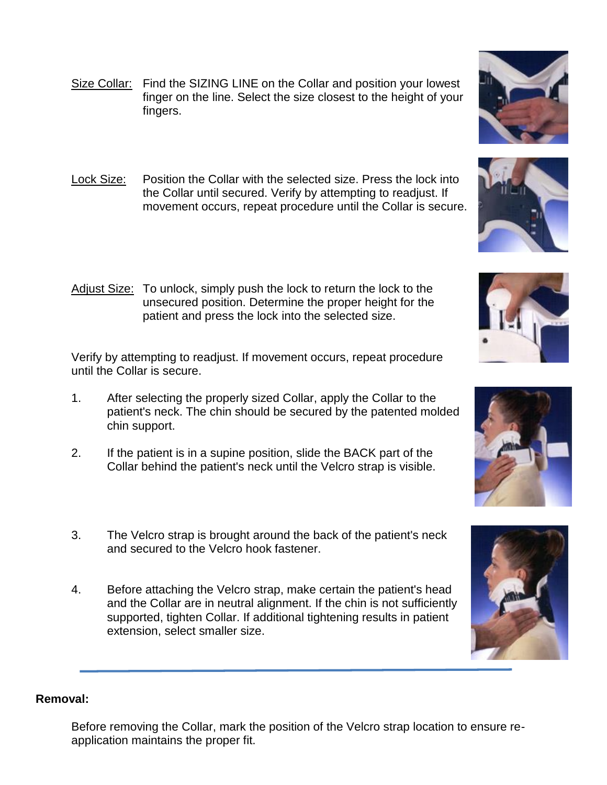- Size Collar: Find the SIZING LINE on the Collar and position your lowest finger on the line. Select the size closest to the height of your fingers.
- Lock Size: Position the Collar with the selected size. Press the lock into the Collar until secured. Verify by attempting to readjust. If movement occurs, repeat procedure until the Collar is secure.
- Adjust Size: To unlock, simply push the lock to return the lock to the unsecured position. Determine the proper height for the patient and press the lock into the selected size.

Verify by attempting to readjust. If movement occurs, repeat procedure until the Collar is secure.

- 1. After selecting the properly sized Collar, apply the Collar to the patient's neck. The chin should be secured by the patented molded chin support.
- 2. If the patient is in a supine position, slide the BACK part of the Collar behind the patient's neck until the Velcro strap is visible.
- 3. The Velcro strap is brought around the back of the patient's neck and secured to the Velcro hook fastener.
- 4. Before attaching the Velcro strap, make certain the patient's head and the Collar are in neutral alignment. If the chin is not sufficiently supported, tighten Collar. If additional tightening results in patient extension, select smaller size.

#### **Removal:**

Before removing the Collar, mark the position of the Velcro strap location to ensure reapplication maintains the proper fit.